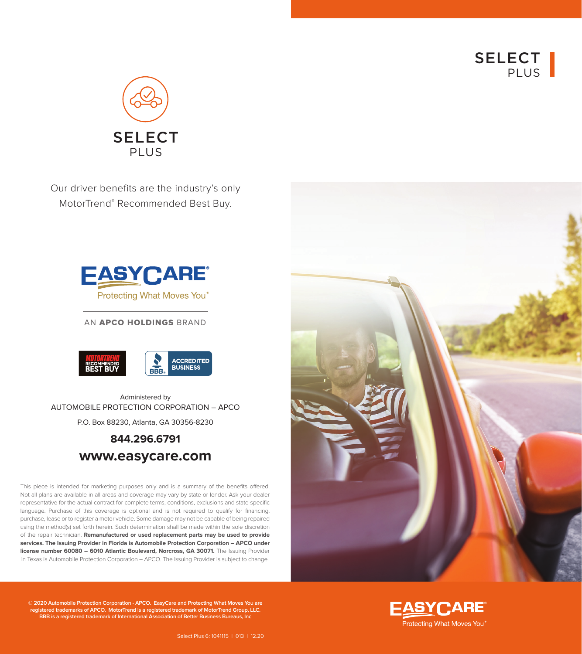



Our driver benefits are the industry's only MotorTrend® Recommended Best Buy.



AN APCO HOLDINGS BRAND



Administered by AUTOMOBILE PROTECTION CORPORATION – APCO P.O. Box 88230, Atlanta, GA 30356-8230

# **844.296.6791 www.easycare.com**

This piece is intended for marketing purposes only and is a summary of the benefits offered. Not all plans are available in all areas and coverage may vary by state or lender. Ask your dealer representative for the actual contract for complete terms, conditions, exclusions and state-specific language. Purchase of this coverage is optional and is not required to qualify for financing, purchase, lease or to register a motor vehicle. Some damage may not be capable of being repaired using the method(s) set forth herein. Such determination shall be made within the sole discretion of the repair technician. **Remanufactured or used replacement parts may be used to provide services. The Issuing Provider in Florida is Automobile Protection Corporation – APCO under license number 60080 - 6010 Atlantic Boulevard, Norcross, GA 30071.** The Issuing Provider in Texas is Automobile Protection Corporation – APCO. The Issuing Provider is subject to change.